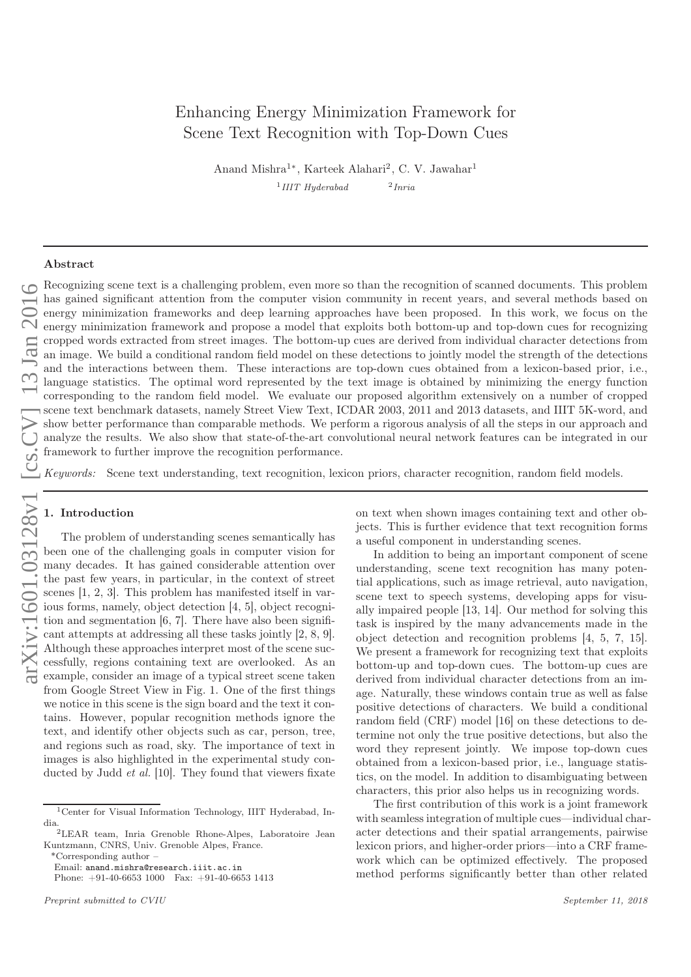# Enhancing Energy Minimization Framework for Scene Text Recognition with Top-Down Cues

Anand Mishra<sup>1\*</sup>, Karteek Alahari<sup>2</sup>, C. V. Jawahar<sup>1</sup>  $1$ IIIT Hyderabad 2 Inria

# Abstract

Recognizing scene text is a challenging problem, even more so than the recognition of scanned documents. This problem has gained significant attention from the computer vision community in recent years, and several methods based on energy minimization frameworks and deep learning approaches have been proposed. In this work, we focus on the energy minimization framework and propose a model that exploits both bottom-up and top-down cues for recognizing cropped words extracted from street images. The bottom-up cues are derived from individual character detections from an image. We build a conditional random field model on these detections to jointly model the strength of the detections and the interactions between them. These interactions are top-down cues obtained from a lexicon-based prior, i.e., language statistics. The optimal word represented by the text image is obtained by minimizing the energy function corresponding to the random field model. We evaluate our proposed algorithm extensively on a number of cropped scene text benchmark datasets, namely Street View Text, ICDAR 2003, 2011 and 2013 datasets, and IIIT 5K-word, and show better performance than comparable methods. We perform a rigorous analysis of all the steps in our approach and analyze the results. We also show that state-of-the-art convolutional neural network features can be integrated in our framework to further improve the recognition performance.

Keywords: Scene text understanding, text recognition, lexicon priors, character recognition, random field models.

# 1. Introduction

The problem of understanding scenes semantically has been one of the challenging goals in computer vision for many decades. It has gained considerable attention over the past few years, in particular, in the context of street scenes [1, 2, 3]. This problem has manifested itself in various forms, namely, object detection [4, 5], object recognition and segmentation [6, 7]. There have also been significant attempts at addressing all these tasks jointly [2, 8, 9]. Although these approaches interpret most of the scene successfully, regions containing text are overlooked. As an example, consider an image of a typical street scene taken from Google Street View in Fig. 1. One of the first things we notice in this scene is the sign board and the text it contains. However, popular recognition methods ignore the text, and identify other objects such as car, person, tree, and regions such as road, sky. The importance of text in images is also highlighted in the experimental study conducted by Judd et al. [10]. They found that viewers fixate on text when shown images containing text and other objects. This is further evidence that text recognition forms a useful component in understanding scenes.

In addition to being an important component of scene understanding, scene text recognition has many potential applications, such as image retrieval, auto navigation, scene text to speech systems, developing apps for visually impaired people [13, 14]. Our method for solving this task is inspired by the many advancements made in the object detection and recognition problems [4, 5, 7, 15]. We present a framework for recognizing text that exploits bottom-up and top-down cues. The bottom-up cues are derived from individual character detections from an image. Naturally, these windows contain true as well as false positive detections of characters. We build a conditional random field (CRF) model [16] on these detections to determine not only the true positive detections, but also the word they represent jointly. We impose top-down cues obtained from a lexicon-based prior, i.e., language statis tics, on the model. In addition to disambiguating between characters, this prior also helps us in recognizing words.

The first contribution of this work is a joint framework with seamless integration of multiple cues—individual character detections and their spatial arrangements, pairwise lexicon priors, and higher-order priors—into a CRF framework which can be optimized effectively. The proposed method performs significantly better than other related

<sup>1</sup>Center for Visual Information Technology, IIIT Hyderabad, India.2LEAR team, Inria Grenoble Rhone-Alpes, Laboratoire Jean

Kuntzmann, CNRS, Univ. Grenoble Alpes, France.

<sup>\*</sup>Corresponding author – Email: anand.mishra@research.iiit.ac.in

Phone: +91-40-6653 1000 Fax: +91-40-6653 1413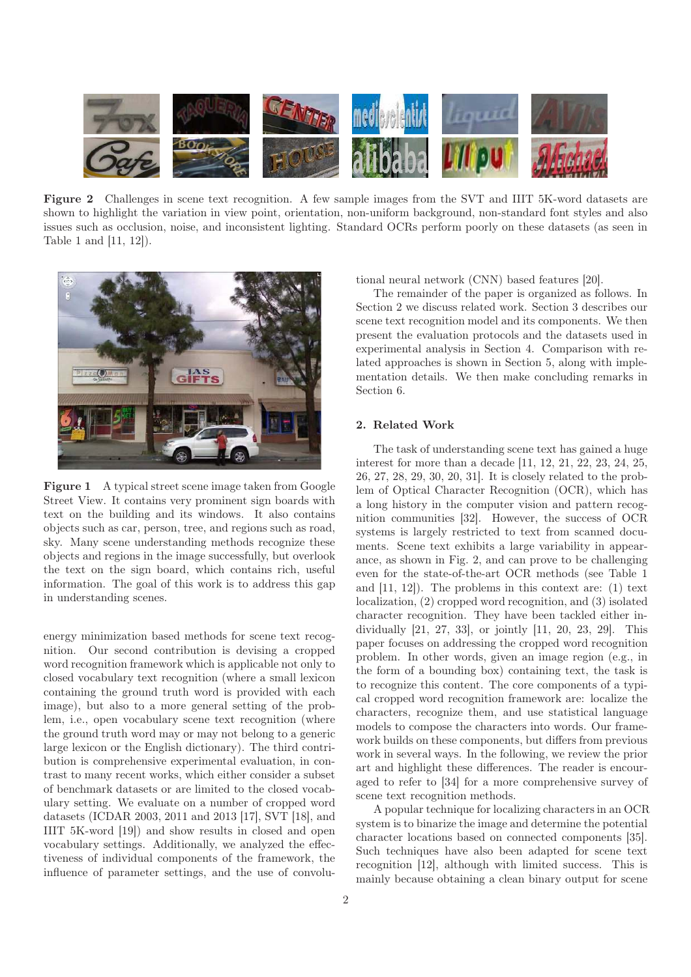

Figure 2 Challenges in scene text recognition. A few sample images from the SVT and IIIT 5K-word datasets are shown to highlight the variation in view point, orientation, non-uniform background, non-standard font styles and also issues such as occlusion, noise, and inconsistent lighting. Standard OCRs perform poorly on these datasets (as seen in Table 1 and [11, 12]).



Figure 1 A typical street scene image taken from Google Street View. It contains very prominent sign boards with text on the building and its windows. It also contains objects such as car, person, tree, and regions such as road, sky. Many scene understanding methods recognize these objects and regions in the image successfully, but overlook the text on the sign board, which contains rich, useful information. The goal of this work is to address this gap in understanding scenes.

energy minimization based methods for scene text recognition. Our second contribution is devising a cropped word recognition framework which is applicable not only to closed vocabulary text recognition (where a small lexicon containing the ground truth word is provided with each image), but also to a more general setting of the problem, i.e., open vocabulary scene text recognition (where the ground truth word may or may not belong to a generic large lexicon or the English dictionary). The third contribution is comprehensive experimental evaluation, in contrast to many recent works, which either consider a subset of benchmark datasets or are limited to the closed vocabulary setting. We evaluate on a number of cropped word datasets (ICDAR 2003, 2011 and 2013 [17], SVT [18], and IIIT 5K-word [19]) and show results in closed and open vocabulary settings. Additionally, we analyzed the effectiveness of individual components of the framework, the influence of parameter settings, and the use of convolutional neural network (CNN) based features [20].

The remainder of the paper is organized as follows. In Section 2 we discuss related work. Section 3 describes our scene text recognition model and its components. We then present the evaluation protocols and the datasets used in experimental analysis in Section 4. Comparison with related approaches is shown in Section 5, along with implementation details. We then make concluding remarks in Section 6.

# 2. Related Work

The task of understanding scene text has gained a huge interest for more than a decade [11, 12, 21, 22, 23, 24, 25, 26, 27, 28, 29, 30, 20, 31]. It is closely related to the problem of Optical Character Recognition (OCR), which has a long history in the computer vision and pattern recognition communities [32]. However, the success of OCR systems is largely restricted to text from scanned documents. Scene text exhibits a large variability in appearance, as shown in Fig. 2, and can prove to be challenging even for the state-of-the-art OCR methods (see Table 1 and [11, 12]). The problems in this context are: (1) text localization, (2) cropped word recognition, and (3) isolated character recognition. They have been tackled either individually [21, 27, 33], or jointly [11, 20, 23, 29]. This paper focuses on addressing the cropped word recognition problem. In other words, given an image region (e.g., in the form of a bounding box) containing text, the task is to recognize this content. The core components of a typical cropped word recognition framework are: localize the characters, recognize them, and use statistical language models to compose the characters into words. Our framework builds on these components, but differs from previous work in several ways. In the following, we review the prior art and highlight these differences. The reader is encouraged to refer to [34] for a more comprehensive survey of scene text recognition methods.

A popular technique for localizing characters in an OCR system is to binarize the image and determine the potential character locations based on connected components [35]. Such techniques have also been adapted for scene text recognition [12], although with limited success. This is mainly because obtaining a clean binary output for scene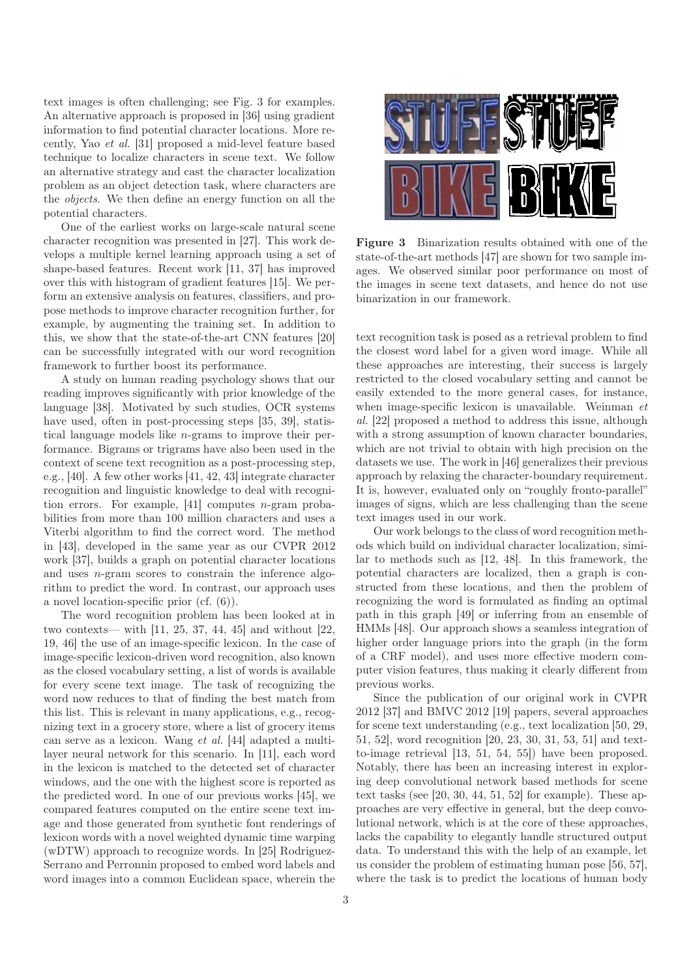text images is often challenging; see Fig. 3 for examples. An alternative approach is proposed in [36] using gradient information to find potential character locations. More recently, Yao et al. [31] proposed a mid-level feature based technique to localize characters in scene text. We follow an alternative strategy and cast the character localization problem as an object detection task, where characters are the objects. We then define an energy function on all the potential characters.

One of the earliest works on large-scale natural scene character recognition was presented in [27]. This work develops a multiple kernel learning approach using a set of shape-based features. Recent work [11, 37] has improved over this with histogram of gradient features [15]. We perform an extensive analysis on features, classifiers, and propose methods to improve character recognition further, for example, by augmenting the training set. In addition to this, we show that the state-of-the-art CNN features [20] can be successfully integrated with our word recognition framework to further boost its performance.

A study on human reading psychology shows that our reading improves significantly with prior knowledge of the language [38]. Motivated by such studies, OCR systems have used, often in post-processing steps [35, 39], statistical language models like n-grams to improve their performance. Bigrams or trigrams have also been used in the context of scene text recognition as a post-processing step, e.g., [40]. A few other works [41, 42, 43] integrate character recognition and linguistic knowledge to deal with recognition errors. For example,  $[41]$  computes *n*-gram probabilities from more than 100 million characters and uses a Viterbi algorithm to find the correct word. The method in [43], developed in the same year as our CVPR 2012 work [37], builds a graph on potential character locations and uses n-gram scores to constrain the inference algorithm to predict the word. In contrast, our approach uses a novel location-specific prior (cf. (6)).

The word recognition problem has been looked at in two contexts— with [11, 25, 37, 44, 45] and without [22, 19, 46] the use of an image-specific lexicon. In the case of image-specific lexicon-driven word recognition, also known as the closed vocabulary setting, a list of words is available for every scene text image. The task of recognizing the word now reduces to that of finding the best match from this list. This is relevant in many applications, e.g., recognizing text in a grocery store, where a list of grocery items can serve as a lexicon. Wang et al. [44] adapted a multilayer neural network for this scenario. In [11], each word in the lexicon is matched to the detected set of character windows, and the one with the highest score is reported as the predicted word. In one of our previous works [45], we compared features computed on the entire scene text image and those generated from synthetic font renderings of lexicon words with a novel weighted dynamic time warping (wDTW) approach to recognize words. In [25] Rodriguez-Serrano and Perronnin proposed to embed word labels and word images into a common Euclidean space, wherein the



Figure 3 Binarization results obtained with one of the state-of-the-art methods [47] are shown for two sample images. We observed similar poor performance on most of the images in scene text datasets, and hence do not use binarization in our framework.

text recognition task is posed as a retrieval problem to find the closest word label for a given word image. While all these approaches are interesting, their success is largely restricted to the closed vocabulary setting and cannot be easily extended to the more general cases, for instance, when image-specific lexicon is unavailable. Weinman et al. [22] proposed a method to address this issue, although with a strong assumption of known character boundaries, which are not trivial to obtain with high precision on the datasets we use. The work in [46] generalizes their previous approach by relaxing the character-boundary requirement. It is, however, evaluated only on "roughly fronto-parallel" images of signs, which are less challenging than the scene text images used in our work.

Our work belongs to the class of word recognition methods which build on individual character localization, similar to methods such as [12, 48]. In this framework, the potential characters are localized, then a graph is constructed from these locations, and then the problem of recognizing the word is formulated as finding an optimal path in this graph [49] or inferring from an ensemble of HMMs [48]. Our approach shows a seamless integration of higher order language priors into the graph (in the form of a CRF model), and uses more effective modern computer vision features, thus making it clearly different from previous works.

Since the publication of our original work in CVPR 2012 [37] and BMVC 2012 [19] papers, several approaches for scene text understanding (e.g., text localization [50, 29, 51, 52], word recognition [20, 23, 30, 31, 53, 51] and textto-image retrieval [13, 51, 54, 55]) have been proposed. Notably, there has been an increasing interest in exploring deep convolutional network based methods for scene text tasks (see  $[20, 30, 44, 51, 52]$  for example). These approaches are very effective in general, but the deep convolutional network, which is at the core of these approaches, lacks the capability to elegantly handle structured output data. To understand this with the help of an example, let us consider the problem of estimating human pose [56, 57], where the task is to predict the locations of human body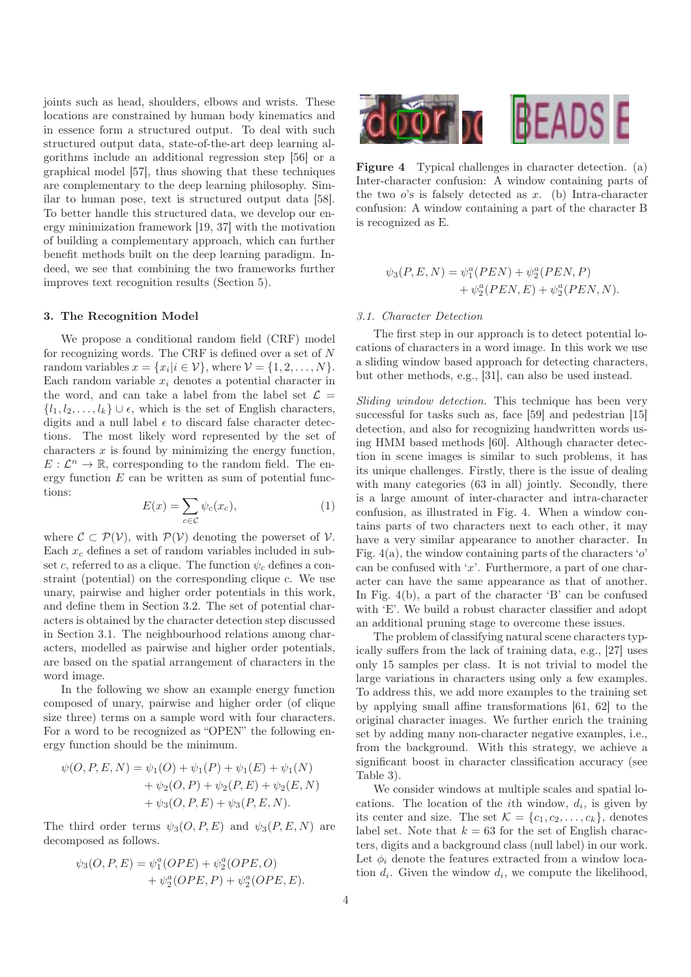joints such as head, shoulders, elbows and wrists. These locations are constrained by human body kinematics and in essence form a structured output. To deal with such structured output data, state-of-the-art deep learning algorithms include an additional regression step [56] or a graphical model [57], thus showing that these techniques are complementary to the deep learning philosophy. Similar to human pose, text is structured output data [58]. To better handle this structured data, we develop our energy minimization framework [19, 37] with the motivation of building a complementary approach, which can further benefit methods built on the deep learning paradigm. Indeed, we see that combining the two frameworks further improves text recognition results (Section 5).

# 3. The Recognition Model

We propose a conditional random field (CRF) model for recognizing words. The CRF is defined over a set of  $N$ random variables  $x = \{x_i | i \in \mathcal{V}\}$ , where  $\mathcal{V} = \{1, 2, ..., N\}$ . Each random variable  $x_i$  denotes a potential character in the word, and can take a label from the label set  $\mathcal{L} =$  $\{l_1, l_2, \ldots, l_k\} \cup \epsilon$ , which is the set of English characters, digits and a null label  $\epsilon$  to discard false character detections. The most likely word represented by the set of characters  $x$  is found by minimizing the energy function,  $E: \mathcal{L}^n \to \mathbb{R}$ , corresponding to the random field. The energy function  $E$  can be written as sum of potential functions:

$$
E(x) = \sum_{c \in \mathcal{C}} \psi_c(x_c),\tag{1}
$$

where  $\mathcal{C} \subset \mathcal{P}(\mathcal{V})$ , with  $\mathcal{P}(\mathcal{V})$  denoting the powerset of  $\mathcal{V}$ . Each  $x_c$  defines a set of random variables included in subset c, referred to as a clique. The function  $\psi_c$  defines a constraint (potential) on the corresponding clique c. We use unary, pairwise and higher order potentials in this work, and define them in Section 3.2. The set of potential characters is obtained by the character detection step discussed in Section 3.1. The neighbourhood relations among characters, modelled as pairwise and higher order potentials, are based on the spatial arrangement of characters in the word image.

In the following we show an example energy function composed of unary, pairwise and higher order (of clique size three) terms on a sample word with four characters. For a word to be recognized as "OPEN" the following energy function should be the minimum.

$$
\psi(O, P, E, N) = \psi_1(O) + \psi_1(P) + \psi_1(E) + \psi_1(N)
$$
  
+ 
$$
\psi_2(O, P) + \psi_2(P, E) + \psi_2(E, N)
$$
  
+ 
$$
\psi_3(O, P, E) + \psi_3(P, E, N).
$$

The third order terms  $\psi_3(O, P, E)$  and  $\psi_3(P, E, N)$  are decomposed as follows.

$$
\psi_3(O, P, E) = \psi_1^a(OPE) + \psi_2^a(OPE, O) + \psi_2^a(OPE, P) + \psi_2^a(OPE, E).
$$



Figure 4 Typical challenges in character detection. (a) Inter-character confusion: A window containing parts of the two  $o$ 's is falsely detected as  $x$ . (b) Intra-character confusion: A window containing a part of the character B is recognized as E.

$$
\psi_3(P, E, N) = \psi_1^a(PEN) + \psi_2^a(PEN, P) + \psi_2^a(PEN, E) + \psi_2^a(PEN, N).
$$

# 3.1. Character Detection

The first step in our approach is to detect potential locations of characters in a word image. In this work we use a sliding window based approach for detecting characters, but other methods, e.g., [31], can also be used instead.

Sliding window detection. This technique has been very successful for tasks such as, face [59] and pedestrian [15] detection, and also for recognizing handwritten words using HMM based methods [60]. Although character detection in scene images is similar to such problems, it has its unique challenges. Firstly, there is the issue of dealing with many categories (63 in all) jointly. Secondly, there is a large amount of inter-character and intra-character confusion, as illustrated in Fig. 4. When a window contains parts of two characters next to each other, it may have a very similar appearance to another character. In Fig.  $4(a)$ , the window containing parts of the characters 'o' can be confused with  $x$ . Furthermore, a part of one character can have the same appearance as that of another. In Fig. 4(b), a part of the character 'B' can be confused with 'E'. We build a robust character classifier and adopt an additional pruning stage to overcome these issues.

The problem of classifying natural scene characters typically suffers from the lack of training data, e.g., [27] uses only 15 samples per class. It is not trivial to model the large variations in characters using only a few examples. To address this, we add more examples to the training set by applying small affine transformations [61, 62] to the original character images. We further enrich the training set by adding many non-character negative examples, i.e., from the background. With this strategy, we achieve a significant boost in character classification accuracy (see Table 3).

We consider windows at multiple scales and spatial locations. The location of the *i*th window,  $d_i$ , is given by its center and size. The set  $\mathcal{K} = \{c_1, c_2, \ldots, c_k\}$ , denotes label set. Note that  $k = 63$  for the set of English characters, digits and a background class (null label) in our work. Let  $\phi_i$  denote the features extracted from a window location  $d_i$ . Given the window  $d_i$ , we compute the likelihood,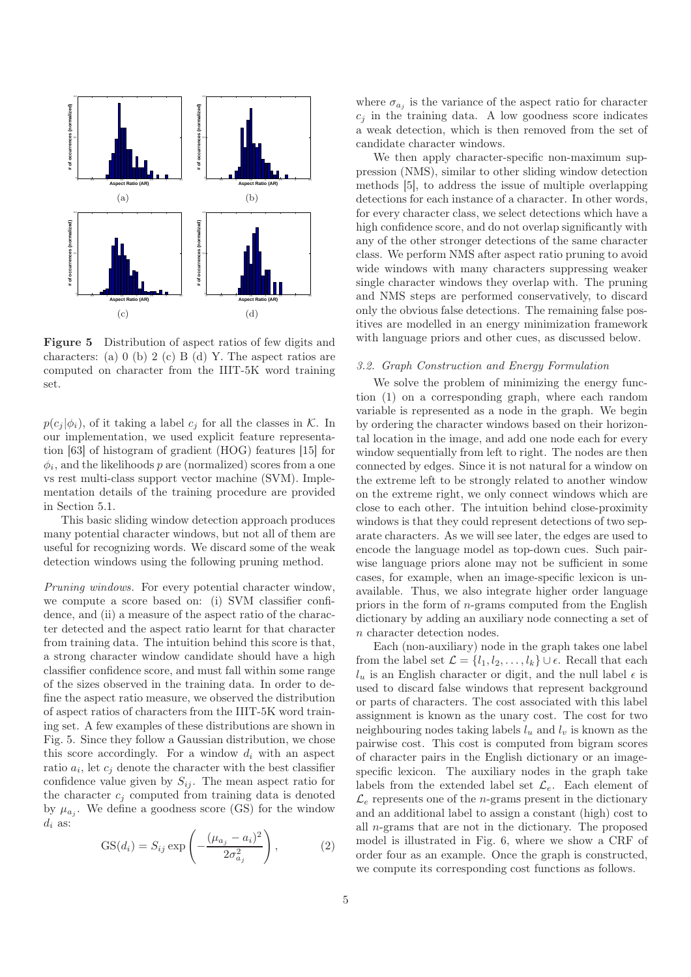

Figure 5 Distribution of aspect ratios of few digits and characters: (a) 0 (b) 2 (c) B (d) Y. The aspect ratios are computed on character from the IIIT-5K word training set.

 $p(c_j | \phi_i)$ , of it taking a label  $c_j$  for all the classes in K. In our implementation, we used explicit feature representation [63] of histogram of gradient (HOG) features [15] for  $\phi_i$ , and the likelihoods p are (normalized) scores from a one vs rest multi-class support vector machine (SVM). Implementation details of the training procedure are provided in Section 5.1.

This basic sliding window detection approach produces many potential character windows, but not all of them are useful for recognizing words. We discard some of the weak detection windows using the following pruning method.

Pruning windows. For every potential character window, we compute a score based on: (i) SVM classifier confidence, and (ii) a measure of the aspect ratio of the character detected and the aspect ratio learnt for that character from training data. The intuition behind this score is that, a strong character window candidate should have a high classifier confidence score, and must fall within some range of the sizes observed in the training data. In order to define the aspect ratio measure, we observed the distribution of aspect ratios of characters from the IIIT-5K word training set. A few examples of these distributions are shown in Fig. 5. Since they follow a Gaussian distribution, we chose this score accordingly. For a window  $d_i$  with an aspect ratio  $a_i$ , let  $c_j$  denote the character with the best classifier confidence value given by  $S_{ij}$ . The mean aspect ratio for the character  $c_i$  computed from training data is denoted by  $\mu_{a_j}$ . We define a goodness score (GS) for the window  $d_i$  as:

$$
GS(d_i) = S_{ij} \exp\left(-\frac{(\mu_{a_j} - a_i)^2}{2\sigma_{a_j}^2}\right),\tag{2}
$$

where  $\sigma_{a_j}$  is the variance of the aspect ratio for character  $c_j$  in the training data. A low goodness score indicates a weak detection, which is then removed from the set of candidate character windows.

We then apply character-specific non-maximum suppression (NMS), similar to other sliding window detection methods [5], to address the issue of multiple overlapping detections for each instance of a character. In other words, for every character class, we select detections which have a high confidence score, and do not overlap significantly with any of the other stronger detections of the same character class. We perform NMS after aspect ratio pruning to avoid wide windows with many characters suppressing weaker single character windows they overlap with. The pruning and NMS steps are performed conservatively, to discard only the obvious false detections. The remaining false positives are modelled in an energy minimization framework with language priors and other cues, as discussed below.

# 3.2. Graph Construction and Energy Formulation

We solve the problem of minimizing the energy function (1) on a corresponding graph, where each random variable is represented as a node in the graph. We begin by ordering the character windows based on their horizontal location in the image, and add one node each for every window sequentially from left to right. The nodes are then connected by edges. Since it is not natural for a window on the extreme left to be strongly related to another window on the extreme right, we only connect windows which are close to each other. The intuition behind close-proximity windows is that they could represent detections of two separate characters. As we will see later, the edges are used to encode the language model as top-down cues. Such pairwise language priors alone may not be sufficient in some cases, for example, when an image-specific lexicon is unavailable. Thus, we also integrate higher order language priors in the form of n-grams computed from the English dictionary by adding an auxiliary node connecting a set of n character detection nodes.

Each (non-auxiliary) node in the graph takes one label from the label set  $\mathcal{L} = \{l_1, l_2, \ldots, l_k\} \cup \epsilon$ . Recall that each  $l_u$  is an English character or digit, and the null label  $\epsilon$  is used to discard false windows that represent background or parts of characters. The cost associated with this label assignment is known as the unary cost. The cost for two neighbouring nodes taking labels  $l_u$  and  $l_v$  is known as the pairwise cost. This cost is computed from bigram scores of character pairs in the English dictionary or an imagespecific lexicon. The auxiliary nodes in the graph take labels from the extended label set  $\mathcal{L}_e$ . Each element of  $\mathcal{L}_e$  represents one of the *n*-grams present in the dictionary and an additional label to assign a constant (high) cost to all n-grams that are not in the dictionary. The proposed model is illustrated in Fig. 6, where we show a CRF of order four as an example. Once the graph is constructed, we compute its corresponding cost functions as follows.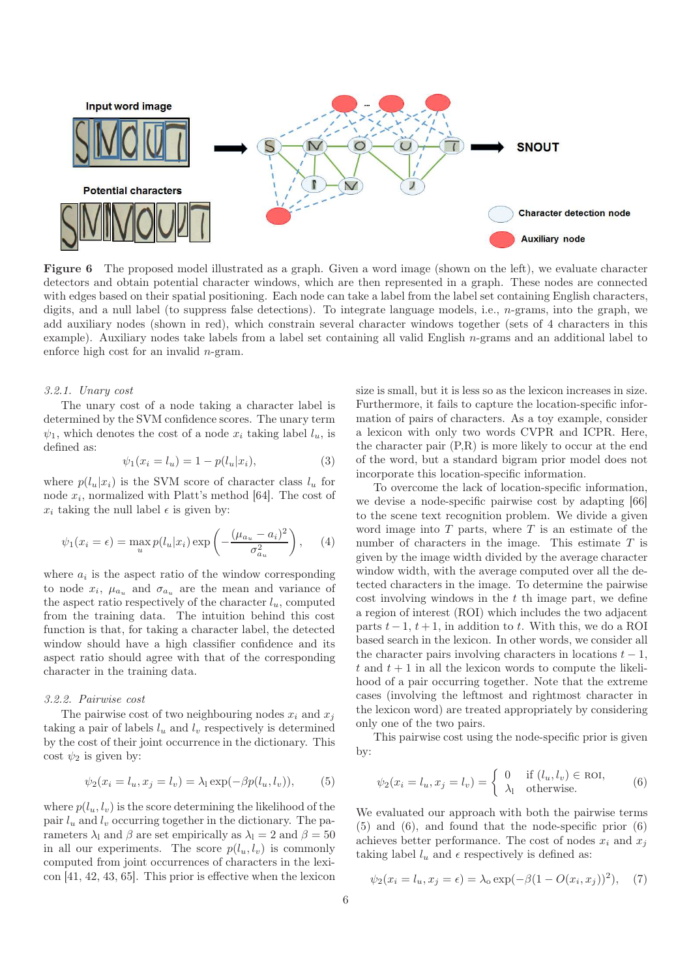

Figure 6 The proposed model illustrated as a graph. Given a word image (shown on the left), we evaluate character detectors and obtain potential character windows, which are then represented in a graph. These nodes are connected with edges based on their spatial positioning. Each node can take a label from the label set containing English characters, digits, and a null label (to suppress false detections). To integrate language models, i.e., n-grams, into the graph, we add auxiliary nodes (shown in red), which constrain several character windows together (sets of 4 characters in this example). Auxiliary nodes take labels from a label set containing all valid English  $n$ -grams and an additional label to enforce high cost for an invalid n-gram.

# 3.2.1. Unary cost

The unary cost of a node taking a character label is determined by the SVM confidence scores. The unary term  $\psi_1$ , which denotes the cost of a node  $x_i$  taking label  $l_u$ , is defined as:

$$
\psi_1(x_i = l_u) = 1 - p(l_u | x_i), \tag{3}
$$

where  $p(l_u|x_i)$  is the SVM score of character class  $l_u$  for node  $x_i$ , normalized with Platt's method [64]. The cost of  $x_i$  taking the null label  $\epsilon$  is given by:

$$
\psi_1(x_i = \epsilon) = \max_u p(l_u | x_i) \exp\left(-\frac{(\mu_{a_u} - a_i)^2}{\sigma_{a_u}^2}\right), \quad (4)
$$

where  $a_i$  is the aspect ratio of the window corresponding to node  $x_i$ ,  $\mu_{a_u}$  and  $\sigma_{a_u}$  are the mean and variance of the aspect ratio respectively of the character  $l_u$ , computed from the training data. The intuition behind this cost function is that, for taking a character label, the detected window should have a high classifier confidence and its aspect ratio should agree with that of the corresponding character in the training data.

#### 3.2.2. Pairwise cost

The pairwise cost of two neighbouring nodes  $x_i$  and  $x_j$ taking a pair of labels  $l_u$  and  $l_v$  respectively is determined by the cost of their joint occurrence in the dictionary. This cost  $\psi_2$  is given by:

$$
\psi_2(x_i = l_u, x_j = l_v) = \lambda_1 \exp(-\beta p(l_u, l_v)), \quad (5)
$$

where  $p(l_u, l_v)$  is the score determining the likelihood of the pair  $l_u$  and  $l_v$  occurring together in the dictionary. The parameters  $\lambda_1$  and  $\beta$  are set empirically as  $\lambda_1 = 2$  and  $\beta = 50$ in all our experiments. The score  $p(l_u, l_v)$  is commonly computed from joint occurrences of characters in the lexicon [41, 42, 43, 65]. This prior is effective when the lexicon size is small, but it is less so as the lexicon increases in size. Furthermore, it fails to capture the location-specific information of pairs of characters. As a toy example, consider a lexicon with only two words CVPR and ICPR. Here, the character pair (P,R) is more likely to occur at the end of the word, but a standard bigram prior model does not incorporate this location-specific information.

To overcome the lack of location-specific information, we devise a node-specific pairwise cost by adapting [66] to the scene text recognition problem. We divide a given word image into  $T$  parts, where  $T$  is an estimate of the number of characters in the image. This estimate  $T$  is given by the image width divided by the average character window width, with the average computed over all the detected characters in the image. To determine the pairwise cost involving windows in the  $t$  th image part, we define a region of interest (ROI) which includes the two adjacent parts  $t - 1$ ,  $t + 1$ , in addition to t. With this, we do a ROI based search in the lexicon. In other words, we consider all the character pairs involving characters in locations  $t - 1$ , t and  $t + 1$  in all the lexicon words to compute the likelihood of a pair occurring together. Note that the extreme cases (involving the leftmost and rightmost character in the lexicon word) are treated appropriately by considering only one of the two pairs.

This pairwise cost using the node-specific prior is given by:

$$
\psi_2(x_i = l_u, x_j = l_v) = \begin{cases} 0 & \text{if } (l_u, l_v) \in \text{ROI}, \\ \lambda_1 & \text{otherwise.} \end{cases}
$$
(6)

We evaluated our approach with both the pairwise terms (5) and (6), and found that the node-specific prior (6) achieves better performance. The cost of nodes  $x_i$  and  $x_j$ taking label  $l_u$  and  $\epsilon$  respectively is defined as:

$$
\psi_2(x_i = l_u, x_j = \epsilon) = \lambda_0 \exp(-\beta(1 - O(x_i, x_j))^2),
$$
 (7)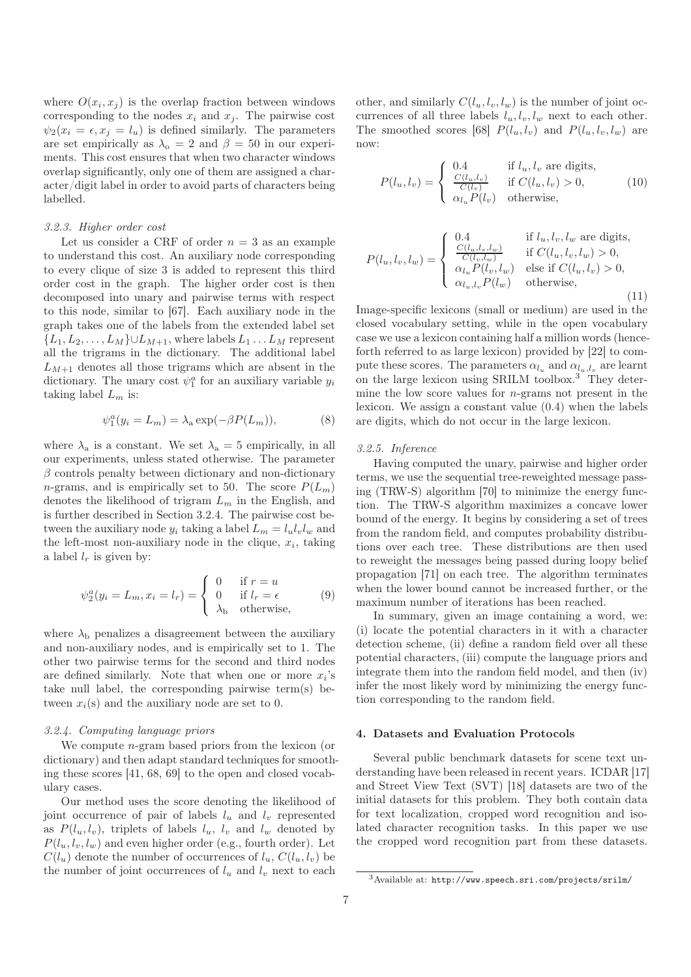where  $O(x_i, x_j)$  is the overlap fraction between windows corresponding to the nodes  $x_i$  and  $x_j$ . The pairwise cost  $\psi_2(x_i = \epsilon, x_j = l_u)$  is defined similarly. The parameters are set empirically as  $\lambda_{o} = 2$  and  $\beta = 50$  in our experiments. This cost ensures that when two character windows overlap significantly, only one of them are assigned a character/digit label in order to avoid parts of characters being labelled.

#### 3.2.3. Higher order cost

Let us consider a CRF of order  $n = 3$  as an example to understand this cost. An auxiliary node corresponding to every clique of size 3 is added to represent this third order cost in the graph. The higher order cost is then decomposed into unary and pairwise terms with respect to this node, similar to [67]. Each auxiliary node in the graph takes one of the labels from the extended label set  ${L_1, L_2, \ldots, L_M\} \cup L_{M+1}$ , where labels  $L_1 \ldots L_M$  represent all the trigrams in the dictionary. The additional label  $L_{M+1}$  denotes all those trigrams which are absent in the dictionary. The unary cost  $\psi_1^a$  for an auxiliary variable  $y_i$ taking label  $L_m$  is:

$$
\psi_1^a(y_i = L_m) = \lambda_a \exp(-\beta P(L_m)),\tag{8}
$$

where  $\lambda_a$  is a constant. We set  $\lambda_a = 5$  empirically, in all our experiments, unless stated otherwise. The parameter  $\beta$  controls penalty between dictionary and non-dictionary *n*-grams, and is empirically set to 50. The score  $P(L_m)$ denotes the likelihood of trigram  $L_m$  in the English, and is further described in Section 3.2.4. The pairwise cost between the auxiliary node  $y_i$  taking a label  $L_m = l_u l_v l_w$  and the left-most non-auxiliary node in the clique,  $x_i$ , taking a label  $l_r$  is given by:

$$
\psi_2^a(y_i = L_m, x_i = l_r) = \begin{cases} 0 & \text{if } r = u \\ 0 & \text{if } l_r = \epsilon \\ \lambda_b & \text{otherwise,} \end{cases}
$$
 (9)

where  $\lambda_{\rm b}$  penalizes a disagreement between the auxiliary and non-auxiliary nodes, and is empirically set to 1. The other two pairwise terms for the second and third nodes are defined similarly. Note that when one or more  $x_i$ 's take null label, the corresponding pairwise term(s) between  $x_i(s)$  and the auxiliary node are set to 0.

# 3.2.4. Computing language priors

We compute *n*-gram based priors from the lexicon (or dictionary) and then adapt standard techniques for smoothing these scores [41, 68, 69] to the open and closed vocabulary cases.

Our method uses the score denoting the likelihood of joint occurrence of pair of labels  $l_u$  and  $l_v$  represented as  $P(l_u, l_v)$ , triplets of labels  $l_u$ ,  $l_v$  and  $l_w$  denoted by  $P(l_u, l_v, l_w)$  and even higher order (e.g., fourth order). Let  $C(l_u)$  denote the number of occurrences of  $l_u$ ,  $C(l_u, l_v)$  be the number of joint occurrences of  $l_u$  and  $l_v$  next to each

other, and similarly  $C(l_u, l_v, l_w)$  is the number of joint occurrences of all three labels  $l_u, l_v, l_w$  next to each other. The smoothed scores [68]  $P(l_u, l_v)$  and  $P(l_u, l_v, l_w)$  are now:

$$
P(l_u, l_v) = \begin{cases} 0.4 & \text{if } l_u, l_v \text{ are digits,} \\ \frac{C(l_u, l_v)}{C(l_v)} & \text{if } C(l_u, l_v) > 0, \\ \alpha_{l_u} P(l_v) & \text{otherwise,} \end{cases}
$$
(10)

$$
P(l_u, l_v, l_w) = \begin{cases} 0.4 & \text{if } l_u, l_v, l_w \text{ are digits,} \\ \frac{C(l_u, l_v, l_w)}{C(l_v, l_w)} & \text{if } C(l_u, l_v, l_w) > 0, \\ \alpha_{l_u} P(l_v, l_w) & \text{else if } C(l_u, l_v) > 0, \\ \alpha_{l_u, l_v} P(l_w) & \text{otherwise,} \end{cases}
$$
(11)

Image-specific lexicons (small or medium) are used in the closed vocabulary setting, while in the open vocabulary case we use a lexicon containing half a million words (henceforth referred to as large lexicon) provided by [22] to compute these scores. The parameters  $\alpha_{l_u}$  and  $\alpha_{l_u,l_v}$  are learnt on the large lexicon using SRILM toolbox.<sup>3</sup> They determine the low score values for n-grams not present in the lexicon. We assign a constant value (0.4) when the labels are digits, which do not occur in the large lexicon.

## 3.2.5. Inference

Having computed the unary, pairwise and higher order terms, we use the sequential tree-reweighted message passing (TRW-S) algorithm [70] to minimize the energy function. The TRW-S algorithm maximizes a concave lower bound of the energy. It begins by considering a set of trees from the random field, and computes probability distributions over each tree. These distributions are then used to reweight the messages being passed during loopy belief propagation [71] on each tree. The algorithm terminates when the lower bound cannot be increased further, or the maximum number of iterations has been reached.

In summary, given an image containing a word, we: (i) locate the potential characters in it with a character detection scheme, (ii) define a random field over all these potential characters, (iii) compute the language priors and integrate them into the random field model, and then (iv) infer the most likely word by minimizing the energy function corresponding to the random field.

# 4. Datasets and Evaluation Protocols

Several public benchmark datasets for scene text understanding have been released in recent years. ICDAR [17] and Street View Text (SVT) [18] datasets are two of the initial datasets for this problem. They both contain data for text localization, cropped word recognition and isolated character recognition tasks. In this paper we use the cropped word recognition part from these datasets.

<sup>3</sup>Available at: http://www.speech.sri.com/projects/srilm/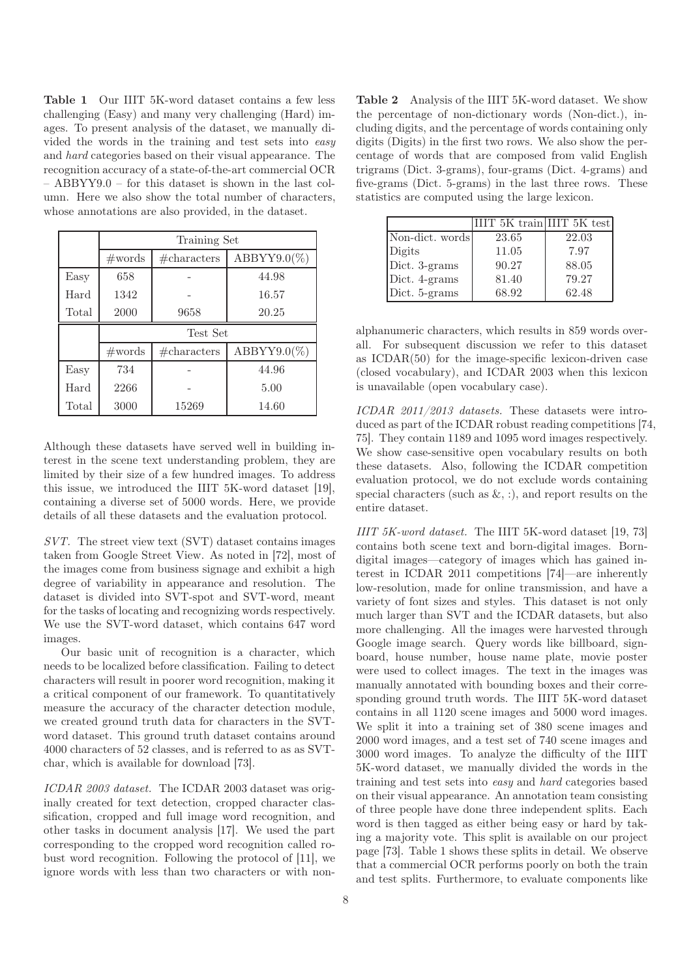Table 1 Our IIIT 5K-word dataset contains a few less challenging (Easy) and many very challenging (Hard) images. To present analysis of the dataset, we manually divided the words in the training and test sets into easy and hard categories based on their visual appearance. The recognition accuracy of a state-of-the-art commercial OCR – ABBYY9.0 – for this dataset is shown in the last column. Here we also show the total number of characters, whose annotations are also provided, in the dataset.

|       | Training Set     |                 |                |  |
|-------|------------------|-----------------|----------------|--|
|       | $\#\text{words}$ | $\#$ characters | $ABBYY9.0(\%)$ |  |
| Easy  | 658              |                 | 44.98          |  |
| Hard  | 1342             |                 | 16.57          |  |
| Total | 2000             | 9658            | 20.25          |  |
|       | Test Set         |                 |                |  |
|       | $\#\text{words}$ | # characters    | $ABBYY9.0(\%)$ |  |
| Easy  | 734              |                 | 44.96          |  |
| Hard  | 2266             |                 | 5.00           |  |
| Total | 3000             | 15269           | 14.60          |  |

Although these datasets have served well in building interest in the scene text understanding problem, they are limited by their size of a few hundred images. To address this issue, we introduced the IIIT 5K-word dataset [19], containing a diverse set of 5000 words. Here, we provide details of all these datasets and the evaluation protocol.

SVT. The street view text (SVT) dataset contains images taken from Google Street View. As noted in [72], most of the images come from business signage and exhibit a high degree of variability in appearance and resolution. The dataset is divided into SVT-spot and SVT-word, meant for the tasks of locating and recognizing words respectively. We use the SVT-word dataset, which contains 647 word images.

Our basic unit of recognition is a character, which needs to be localized before classification. Failing to detect characters will result in poorer word recognition, making it a critical component of our framework. To quantitatively measure the accuracy of the character detection module, we created ground truth data for characters in the SVTword dataset. This ground truth dataset contains around 4000 characters of 52 classes, and is referred to as as SVTchar, which is available for download [73].

ICDAR 2003 dataset. The ICDAR 2003 dataset was originally created for text detection, cropped character classification, cropped and full image word recognition, and other tasks in document analysis [17]. We used the part corresponding to the cropped word recognition called robust word recognition. Following the protocol of [11], we ignore words with less than two characters or with non-

Table 2 Analysis of the IIIT 5K-word dataset. We show the percentage of non-dictionary words (Non-dict.), including digits, and the percentage of words containing only digits (Digits) in the first two rows. We also show the percentage of words that are composed from valid English trigrams (Dict. 3-grams), four-grams (Dict. 4-grams) and five-grams (Dict. 5-grams) in the last three rows. These statistics are computed using the large lexicon.

|                 | IIIT 5K train IIIT 5K test |       |
|-----------------|----------------------------|-------|
| Non-dict. words | 23.65                      | 22.03 |
| Digits          | 11.05                      | 7.97  |
| Dict. 3-grams   | 90.27                      | 88.05 |
| Dict. 4-grams   | 81.40                      | 79.27 |
| Dict. 5-grams   | 68.92                      | 62.48 |

alphanumeric characters, which results in 859 words overall. For subsequent discussion we refer to this dataset as ICDAR(50) for the image-specific lexicon-driven case (closed vocabulary), and ICDAR 2003 when this lexicon is unavailable (open vocabulary case).

ICDAR 2011/2013 datasets. These datasets were introduced as part of the ICDAR robust reading competitions [74, 75]. They contain 1189 and 1095 word images respectively. We show case-sensitive open vocabulary results on both these datasets. Also, following the ICDAR competition evaluation protocol, we do not exclude words containing special characters (such as  $\&$ , :), and report results on the entire dataset.

IIIT 5K-word dataset. The IIIT 5K-word dataset [19, 73] contains both scene text and born-digital images. Borndigital images—category of images which has gained interest in ICDAR 2011 competitions [74]—are inherently low-resolution, made for online transmission, and have a variety of font sizes and styles. This dataset is not only much larger than SVT and the ICDAR datasets, but also more challenging. All the images were harvested through Google image search. Query words like billboard, signboard, house number, house name plate, movie poster were used to collect images. The text in the images was manually annotated with bounding boxes and their corresponding ground truth words. The IIIT 5K-word dataset contains in all 1120 scene images and 5000 word images. We split it into a training set of 380 scene images and 2000 word images, and a test set of 740 scene images and 3000 word images. To analyze the difficulty of the IIIT 5K-word dataset, we manually divided the words in the training and test sets into easy and hard categories based on their visual appearance. An annotation team consisting of three people have done three independent splits. Each word is then tagged as either being easy or hard by taking a majority vote. This split is available on our project page [73]. Table 1 shows these splits in detail. We observe that a commercial OCR performs poorly on both the train and test splits. Furthermore, to evaluate components like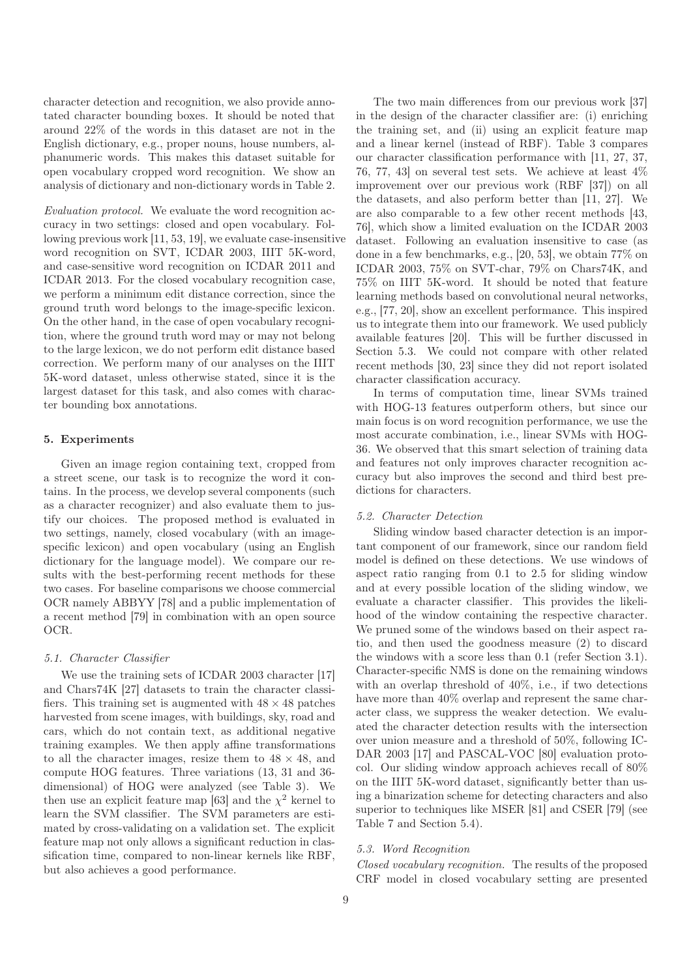character detection and recognition, we also provide annotated character bounding boxes. It should be noted that around 22% of the words in this dataset are not in the English dictionary, e.g., proper nouns, house numbers, alphanumeric words. This makes this dataset suitable for open vocabulary cropped word recognition. We show an analysis of dictionary and non-dictionary words in Table 2.

Evaluation protocol. We evaluate the word recognition accuracy in two settings: closed and open vocabulary. Following previous work [11, 53, 19], we evaluate case-insensitive word recognition on SVT, ICDAR 2003, IIIT 5K-word, and case-sensitive word recognition on ICDAR 2011 and ICDAR 2013. For the closed vocabulary recognition case, we perform a minimum edit distance correction, since the ground truth word belongs to the image-specific lexicon. On the other hand, in the case of open vocabulary recognition, where the ground truth word may or may not belong to the large lexicon, we do not perform edit distance based correction. We perform many of our analyses on the IIIT 5K-word dataset, unless otherwise stated, since it is the largest dataset for this task, and also comes with character bounding box annotations.

# 5. Experiments

Given an image region containing text, cropped from a street scene, our task is to recognize the word it contains. In the process, we develop several components (such as a character recognizer) and also evaluate them to justify our choices. The proposed method is evaluated in two settings, namely, closed vocabulary (with an imagespecific lexicon) and open vocabulary (using an English dictionary for the language model). We compare our results with the best-performing recent methods for these two cases. For baseline comparisons we choose commercial OCR namely ABBYY [78] and a public implementation of a recent method [79] in combination with an open source OCR.

# 5.1. Character Classifier

We use the training sets of ICDAR 2003 character [17] and Chars74K [27] datasets to train the character classifiers. This training set is augmented with  $48 \times 48$  patches harvested from scene images, with buildings, sky, road and cars, which do not contain text, as additional negative training examples. We then apply affine transformations to all the character images, resize them to  $48 \times 48$ , and compute HOG features. Three variations (13, 31 and 36 dimensional) of HOG were analyzed (see Table 3). We then use an explicit feature map [63] and the  $\chi^2$  kernel to learn the SVM classifier. The SVM parameters are estimated by cross-validating on a validation set. The explicit feature map not only allows a significant reduction in classification time, compared to non-linear kernels like RBF, but also achieves a good performance.

The two main differences from our previous work [37] in the design of the character classifier are: (i) enriching the training set, and (ii) using an explicit feature map and a linear kernel (instead of RBF). Table 3 compares our character classification performance with [11, 27, 37, 76, 77, 43] on several test sets. We achieve at least 4% improvement over our previous work (RBF [37]) on all the datasets, and also perform better than [11, 27]. We are also comparable to a few other recent methods [43, 76], which show a limited evaluation on the ICDAR 2003 dataset. Following an evaluation insensitive to case (as done in a few benchmarks, e.g., [20, 53], we obtain 77% on ICDAR 2003, 75% on SVT-char, 79% on Chars74K, and 75% on IIIT 5K-word. It should be noted that feature learning methods based on convolutional neural networks, e.g., [77, 20], show an excellent performance. This inspired us to integrate them into our framework. We used publicly available features [20]. This will be further discussed in Section 5.3. We could not compare with other related recent methods [30, 23] since they did not report isolated character classification accuracy.

In terms of computation time, linear SVMs trained with HOG-13 features outperform others, but since our main focus is on word recognition performance, we use the most accurate combination, i.e., linear SVMs with HOG-36. We observed that this smart selection of training data and features not only improves character recognition accuracy but also improves the second and third best predictions for characters.

## 5.2. Character Detection

Sliding window based character detection is an important component of our framework, since our random field model is defined on these detections. We use windows of aspect ratio ranging from 0.1 to 2.5 for sliding window and at every possible location of the sliding window, we evaluate a character classifier. This provides the likelihood of the window containing the respective character. We pruned some of the windows based on their aspect ratio, and then used the goodness measure (2) to discard the windows with a score less than 0.1 (refer Section 3.1). Character-specific NMS is done on the remaining windows with an overlap threshold of 40%, i.e., if two detections have more than  $40\%$  overlap and represent the same character class, we suppress the weaker detection. We evaluated the character detection results with the intersection over union measure and a threshold of 50%, following IC-DAR 2003 [17] and PASCAL-VOC [80] evaluation protocol. Our sliding window approach achieves recall of 80% on the IIIT 5K-word dataset, significantly better than using a binarization scheme for detecting characters and also superior to techniques like MSER [81] and CSER [79] (see Table 7 and Section 5.4).

# 5.3. Word Recognition

Closed vocabulary recognition. The results of the proposed CRF model in closed vocabulary setting are presented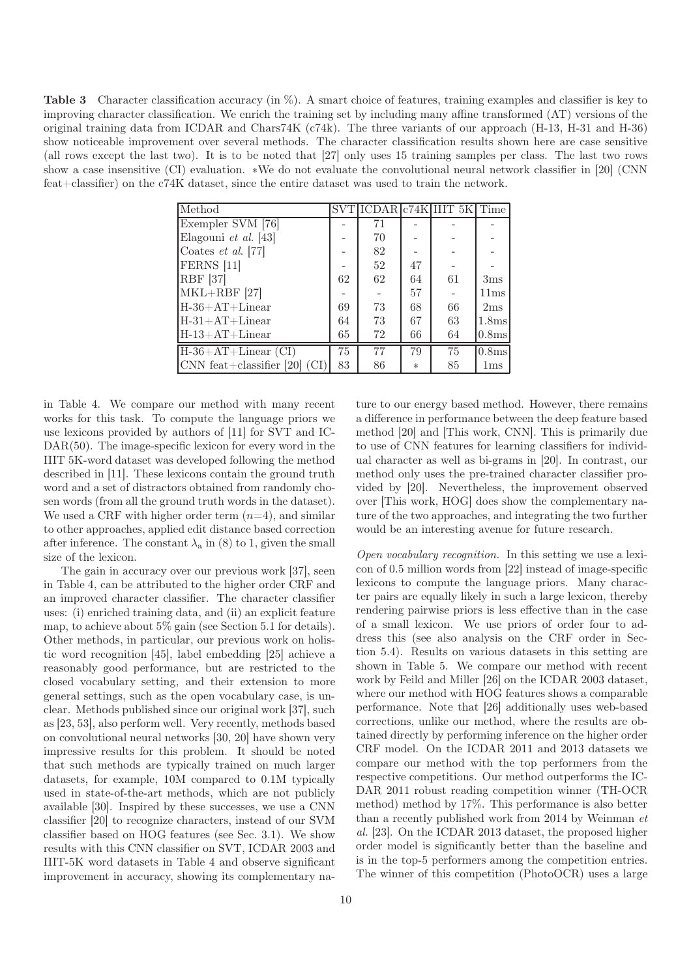Table 3 Character classification accuracy (in %). A smart choice of features, training examples and classifier is key to improving character classification. We enrich the training set by including many affine transformed (AT) versions of the original training data from ICDAR and Chars74K (c74k). The three variants of our approach (H-13, H-31 and H-36) show noticeable improvement over several methods. The character classification results shown here are case sensitive (all rows except the last two). It is to be noted that [27] only uses 15 training samples per class. The last two rows show a case insensitive (CI) evaluation. \*We do not evaluate the convolutional neural network classifier in [20] (CNN feat+classifier) on the c74K dataset, since the entire dataset was used to train the network.

| Method                                     |    |    |        | $\overline{\text{SVT}}$ ICDAR $\text{c74K}$ IIIT 5K Time |                   |
|--------------------------------------------|----|----|--------|----------------------------------------------------------|-------------------|
| Exempler SVM [76]                          |    | 71 |        |                                                          |                   |
| Elagouni et al. $[43]$                     |    | 70 |        |                                                          |                   |
| Coates $et \ al. [77]$                     |    | 82 |        |                                                          |                   |
| <b>FERNS</b> [11]                          |    | 52 | 47     |                                                          |                   |
| <b>RBF</b> [37]                            | 62 | 62 | 64     | 61                                                       | 3 <sub>ms</sub>   |
| $MKL+RBF$ [27]                             |    |    | 57     |                                                          | 11ms              |
| $H-36+AT+Linear$                           | 69 | 73 | 68     | 66                                                       | 2ms               |
| $H-31+AT+Linear$                           | 64 | 73 | 67     | 63                                                       | 1.8 <sub>ms</sub> |
| $H-13+AT+Linear$                           | 65 | 72 | 66     | 64                                                       | 0.8ms             |
| $H-36+AT+Linear$ (CI)                      | 75 | 77 | 79     | 75                                                       | 0.8 <sub>ms</sub> |
| CNN feat+classifier [20] $\left(CI\right)$ | 83 | 86 | $\ast$ | 85                                                       | $1\,\mathrm{ms}$  |

in Table 4. We compare our method with many recent works for this task. To compute the language priors we use lexicons provided by authors of [11] for SVT and IC-DAR(50). The image-specific lexicon for every word in the IIIT 5K-word dataset was developed following the method described in [11]. These lexicons contain the ground truth word and a set of distractors obtained from randomly chosen words (from all the ground truth words in the dataset). We used a CRF with higher order term  $(n=4)$ , and similar to other approaches, applied edit distance based correction after inference. The constant  $\lambda_a$  in (8) to 1, given the small size of the lexicon.

The gain in accuracy over our previous work [37], seen in Table 4, can be attributed to the higher order CRF and an improved character classifier. The character classifier uses: (i) enriched training data, and (ii) an explicit feature map, to achieve about 5% gain (see Section 5.1 for details). Other methods, in particular, our previous work on holistic word recognition [45], label embedding [25] achieve a reasonably good performance, but are restricted to the closed vocabulary setting, and their extension to more general settings, such as the open vocabulary case, is unclear. Methods published since our original work [37], such as [23, 53], also perform well. Very recently, methods based on convolutional neural networks [30, 20] have shown very impressive results for this problem. It should be noted that such methods are typically trained on much larger datasets, for example, 10M compared to 0.1M typically used in state-of-the-art methods, which are not publicly available [30]. Inspired by these successes, we use a CNN classifier [20] to recognize characters, instead of our SVM classifier based on HOG features (see Sec. 3.1). We show results with this CNN classifier on SVT, ICDAR 2003 and IIIT-5K word datasets in Table 4 and observe significant improvement in accuracy, showing its complementary na-

ture to our energy based method. However, there remains a difference in performance between the deep feature based method [20] and [This work, CNN]. This is primarily due to use of CNN features for learning classifiers for individual character as well as bi-grams in [20]. In contrast, our method only uses the pre-trained character classifier provided by [20]. Nevertheless, the improvement observed over [This work, HOG] does show the complementary nature of the two approaches, and integrating the two further would be an interesting avenue for future research.

Open vocabulary recognition. In this setting we use a lexicon of 0.5 million words from [22] instead of image-specific lexicons to compute the language priors. Many character pairs are equally likely in such a large lexicon, thereby rendering pairwise priors is less effective than in the case of a small lexicon. We use priors of order four to address this (see also analysis on the CRF order in Section 5.4). Results on various datasets in this setting are shown in Table 5. We compare our method with recent work by Feild and Miller [26] on the ICDAR 2003 dataset, where our method with HOG features shows a comparable performance. Note that [26] additionally uses web-based corrections, unlike our method, where the results are obtained directly by performing inference on the higher order CRF model. On the ICDAR 2011 and 2013 datasets we compare our method with the top performers from the respective competitions. Our method outperforms the IC-DAR 2011 robust reading competition winner (TH-OCR method) method by 17%. This performance is also better than a recently published work from  $2014$  by Weinman  $et$ al. [23]. On the ICDAR 2013 dataset, the proposed higher order model is significantly better than the baseline and is in the top-5 performers among the competition entries. The winner of this competition (PhotoOCR) uses a large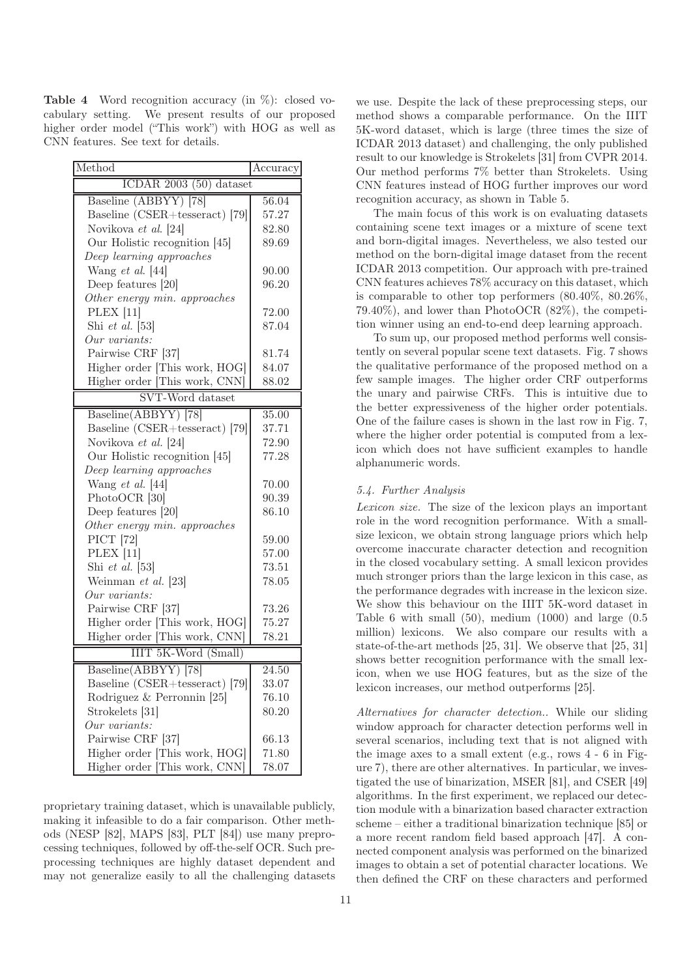Table 4 Word recognition accuracy (in %): closed vocabulary setting. We present results of our proposed higher order model ("This work") with HOG as well as CNN features. See text for details.

| Method                         | Accuracy |  |  |
|--------------------------------|----------|--|--|
| ICDAR $2003(50)$ dataset       |          |  |  |
| Baseline (ABBYY) [78]          | 56.04    |  |  |
| Baseline (CSER+tesseract) [79] | 57.27    |  |  |
| Novikova et al. [24]           | 82.80    |  |  |
| Our Holistic recognition [45]  | 89.69    |  |  |
| Deep learning approaches       |          |  |  |
| Wang $et \ al.$ [44]           | 90.00    |  |  |
| Deep features [20]             | 96.20    |  |  |
| Other energy min. approaches   |          |  |  |
| <b>PLEX</b> [11]               | 72.00    |  |  |
| Shi et al. $[53]$              | 87.04    |  |  |
| Our variants:                  |          |  |  |
| Pairwise CRF [37]              | 81.74    |  |  |
| Higher order [This work, HOG]  | 84.07    |  |  |
| Higher order [This work, CNN]  | 88.02    |  |  |
| <b>SVT-Word</b> dataset        |          |  |  |
| Baseline(ABBYY) [78]           | 35.00    |  |  |
| Baseline (CSER+tesseract) [79] | 37.71    |  |  |
| Novikova et al. [24]           | 72.90    |  |  |
| Our Holistic recognition [45]  | 77.28    |  |  |
| Deep learning approaches       |          |  |  |
| Wang $et$ al. [44]             | 70.00    |  |  |
| PhotoOCR [30]                  | 90.39    |  |  |
| Deep features [20]             | 86.10    |  |  |
| Other energy min. approaches   |          |  |  |
| PICT [72]                      | 59.00    |  |  |
| <b>PLEX</b> [11]               | 57.00    |  |  |
| Shi et al. $[53]$              | 73.51    |  |  |
| Weinman et al. [23]            | 78.05    |  |  |
| Our variants:                  |          |  |  |
| Pairwise CRF [37]              | 73.26    |  |  |
| Higher order [This work, HOG]  | 75.27    |  |  |
| Higher order [This work, CNN]  | 78.21    |  |  |
| IIIT 5K-Word (Small)           |          |  |  |
| Baseline(ABBYY) [78]           | 24.50    |  |  |
| Baseline (CSER+tesseract) [79] | 33.07    |  |  |
| Rodriguez & Perronnin [25]     | 76.10    |  |  |
| Strokelets [31]                | 80.20    |  |  |
| Our variants:                  |          |  |  |
| Pairwise CRF [37]              | 66.13    |  |  |
| Higher order [This work, HOG]  | 71.80    |  |  |
| Higher order [This work, CNN]  | 78.07    |  |  |

proprietary training dataset, which is unavailable publicly, making it infeasible to do a fair comparison. Other methods (NESP [82], MAPS [83], PLT [84]) use many preprocessing techniques, followed by off-the-self OCR. Such preprocessing techniques are highly dataset dependent and may not generalize easily to all the challenging datasets

we use. Despite the lack of these preprocessing steps, our method shows a comparable performance. On the IIIT 5K-word dataset, which is large (three times the size of ICDAR 2013 dataset) and challenging, the only published result to our knowledge is Strokelets [31] from CVPR 2014. Our method performs 7% better than Strokelets. Using CNN features instead of HOG further improves our word recognition accuracy, as shown in Table 5.

The main focus of this work is on evaluating datasets containing scene text images or a mixture of scene text and born-digital images. Nevertheless, we also tested our method on the born-digital image dataset from the recent ICDAR 2013 competition. Our approach with pre-trained CNN features achieves 78% accuracy on this dataset, which is comparable to other top performers (80.40%, 80.26%, 79.40%), and lower than PhotoOCR (82%), the competition winner using an end-to-end deep learning approach.

To sum up, our proposed method performs well consistently on several popular scene text datasets. Fig. 7 shows the qualitative performance of the proposed method on a few sample images. The higher order CRF outperforms the unary and pairwise CRFs. This is intuitive due to the better expressiveness of the higher order potentials. One of the failure cases is shown in the last row in Fig. 7, where the higher order potential is computed from a lexicon which does not have sufficient examples to handle alphanumeric words.

# 5.4. Further Analysis

Lexicon size. The size of the lexicon plays an important role in the word recognition performance. With a smallsize lexicon, we obtain strong language priors which help overcome inaccurate character detection and recognition in the closed vocabulary setting. A small lexicon provides much stronger priors than the large lexicon in this case, as the performance degrades with increase in the lexicon size. We show this behaviour on the IIIT 5K-word dataset in Table 6 with small  $(50)$ , medium  $(1000)$  and large  $(0.5)$ million) lexicons. We also compare our results with a state-of-the-art methods [25, 31]. We observe that [25, 31] shows better recognition performance with the small lexicon, when we use HOG features, but as the size of the lexicon increases, our method outperforms [25].

Alternatives for character detection.. While our sliding window approach for character detection performs well in several scenarios, including text that is not aligned with the image axes to a small extent (e.g., rows 4 - 6 in Figure 7), there are other alternatives. In particular, we investigated the use of binarization, MSER [81], and CSER [49] algorithms. In the first experiment, we replaced our detection module with a binarization based character extraction scheme – either a traditional binarization technique [85] or a more recent random field based approach [47]. A connected component analysis was performed on the binarized images to obtain a set of potential character locations. We then defined the CRF on these characters and performed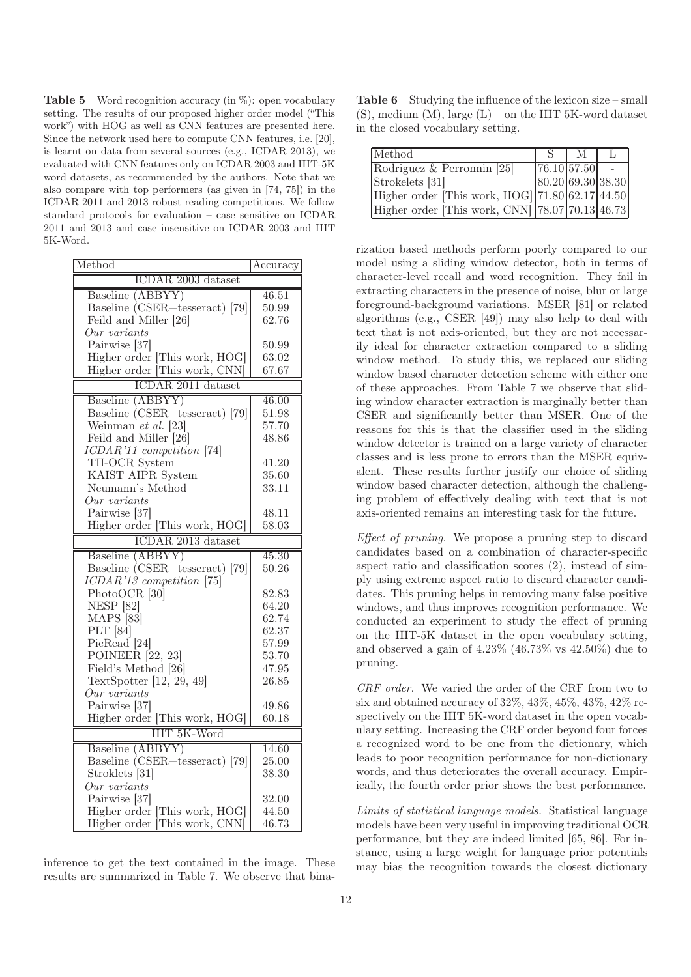**Table 5** Word recognition accuracy (in  $\%$ ): open vocabulary setting. The results of our proposed higher order model ("This work") with HOG as well as CNN features are presented here. Since the network used here to compute CNN features, i.e. [20], is learnt on data from several sources (e.g., ICDAR 2013), we evaluated with CNN features only on ICDAR 2003 and IIIT-5K word datasets, as recommended by the authors. Note that we also compare with top performers (as given in [74, 75]) in the ICDAR 2011 and 2013 robust reading competitions. We follow standard protocols for evaluation – case sensitive on ICDAR 2011 and 2013 and case insensitive on ICDAR 2003 and IIIT 5K-Word.

| Method                                 | Accuracy           |  |
|----------------------------------------|--------------------|--|
| ICDAR 2003 dataset                     |                    |  |
| Baseline (ABBYY)                       | 46.51              |  |
| Baseline $(CSER + tesseract)$ [79]     | 50.99              |  |
| Feild and Miller [26]                  | 62.76              |  |
| Our variants                           |                    |  |
| Pairwise [37]                          | 50.99              |  |
| Higher order [This work, HOG]          | 63.02              |  |
| Higher order This work, CNN            | 67.67              |  |
| ICDAR 2011 dataset                     |                    |  |
| Baseline (ABBYY)                       | 46.00              |  |
| Baseline (CSER+tesseract) [79]         | 51.98              |  |
| Weinman et al. [23]                    | 57.70              |  |
| Feild and Miller [26]                  | 48.86              |  |
| ICDAR'11 competition [74]              |                    |  |
| TH-OCR System                          | 41.20              |  |
| KAIST AIPR System                      | 35.60              |  |
| Neumann's Method                       | 33.11              |  |
| Our variants                           |                    |  |
| Pairwise [37]                          | 48.11              |  |
| Higher order [This work, HOG]          | 58.03              |  |
| ICDAR 2013 dataset                     |                    |  |
| Baseline (ABBYY)                       | $\overline{45.30}$ |  |
| Baseline $\angle$ CSER+tesseract) [79] | 50.26              |  |
| $ICDAR'13$ competition [75]            |                    |  |
| PhotoOCR [30]                          | 82.83              |  |
| <b>NESP</b> [82]                       | 64.20              |  |
| MAPS [83]                              | 62.74              |  |
| PLT [84]                               | 62.37              |  |
| PicRead <sup>[24]</sup>                | 57.99              |  |
| POINEER $[22, 23]$                     | 53.70              |  |
| Field's Method [26]                    | 47.95              |  |
| TextSpotter [12, 29, 49]               | 26.85              |  |
| Our variants                           |                    |  |
| Pairwise [37]                          | 49.86              |  |
| Higher order [This work, HOG]          | 60.18              |  |
| <b>IIIT 5K-Word</b>                    |                    |  |
| Baseline (ABBYY)                       | 14.60              |  |
| Baseline (CSER+tesseract) [79]         | 25.00              |  |
| Stroklets [31]                         | 38.30              |  |
| Our variants                           |                    |  |
| Pairwise [37]                          | 32.00              |  |
| Higher order [This work, HOG]          | 44.50              |  |
| Higher order This work, CNN            | 46.73              |  |

inference to get the text contained in the image. These results are summarized in Table 7. We observe that bina-

Table 6 Studying the influence of the lexicon size – small  $(S)$ , medium  $(M)$ , large  $(L)$  – on the IIIT 5K-word dataset in the closed vocabulary setting.

| Method                                             | $\mathbf{C}$      | M |  |
|----------------------------------------------------|-------------------|---|--|
| Rodriguez & Perronnin [25]                         | 76.10 57.50       |   |  |
| Strokelets [31]                                    | 80.20 69.30 38.30 |   |  |
| Higher order [This work, $HOG$ ] 71.80 62.17 44.50 |                   |   |  |
| Higher order [This work, CNN] $ 78.07 70.13 46.73$ |                   |   |  |

rization based methods perform poorly compared to our model using a sliding window detector, both in terms of character-level recall and word recognition. They fail in extracting characters in the presence of noise, blur or large foreground-background variations. MSER [81] or related algorithms (e.g., CSER [49]) may also help to deal with text that is not axis-oriented, but they are not necessarily ideal for character extraction compared to a sliding window method. To study this, we replaced our sliding window based character detection scheme with either one of these approaches. From Table 7 we observe that sliding window character extraction is marginally better than CSER and significantly better than MSER. One of the reasons for this is that the classifier used in the sliding window detector is trained on a large variety of character classes and is less prone to errors than the MSER equivalent. These results further justify our choice of sliding window based character detection, although the challenging problem of effectively dealing with text that is not axis-oriented remains an interesting task for the future.

Effect of pruning. We propose a pruning step to discard candidates based on a combination of character-specific aspect ratio and classification scores (2), instead of simply using extreme aspect ratio to discard character candidates. This pruning helps in removing many false positive windows, and thus improves recognition performance. We conducted an experiment to study the effect of pruning on the IIIT-5K dataset in the open vocabulary setting, and observed a gain of 4.23% (46.73% vs 42.50%) due to pruning.

CRF order. We varied the order of the CRF from two to six and obtained accuracy of 32%, 43%, 45%, 43%, 42% respectively on the IIIT 5K-word dataset in the open vocabulary setting. Increasing the CRF order beyond four forces a recognized word to be one from the dictionary, which leads to poor recognition performance for non-dictionary words, and thus deteriorates the overall accuracy. Empirically, the fourth order prior shows the best performance.

Limits of statistical language models. Statistical language models have been very useful in improving traditional OCR performance, but they are indeed limited [65, 86]. For instance, using a large weight for language prior potentials may bias the recognition towards the closest dictionary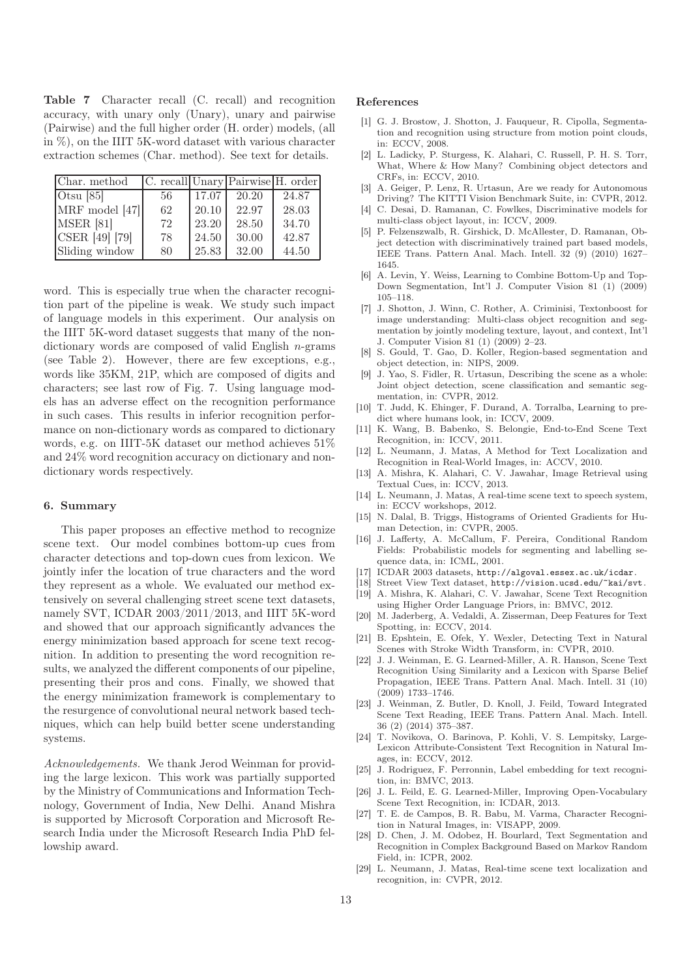Table 7 Character recall (C. recall) and recognition accuracy, with unary only (Unary), unary and pairwise (Pairwise) and the full higher order (H. order) models, (all in %), on the IIIT 5K-word dataset with various character extraction schemes (Char. method). See text for details.

| Char. method   |    |       | C. recall Unary Pairwise H. order |       |
|----------------|----|-------|-----------------------------------|-------|
| Otsu $[85]$    | 56 | 17.07 | 20.20                             | 24.87 |
| MRF model [47] | 62 | 20.10 | 22.97                             | 28.03 |
| MSER [81]      | 72 | 23.20 | 28.50                             | 34.70 |
| CSER [49] [79] | 78 | 24.50 | 30.00                             | 42.87 |
| Sliding window | 80 | 25.83 | 32.00                             | 44.50 |

word. This is especially true when the character recognition part of the pipeline is weak. We study such impact of language models in this experiment. Our analysis on the IIIT 5K-word dataset suggests that many of the nondictionary words are composed of valid English n-grams (see Table 2). However, there are few exceptions, e.g., words like 35KM, 21P, which are composed of digits and characters; see last row of Fig. 7. Using language models has an adverse effect on the recognition performance in such cases. This results in inferior recognition performance on non-dictionary words as compared to dictionary words, e.g. on IIIT-5K dataset our method achieves 51% and 24% word recognition accuracy on dictionary and nondictionary words respectively.

## 6. Summary

This paper proposes an effective method to recognize scene text. Our model combines bottom-up cues from character detections and top-down cues from lexicon. We jointly infer the location of true characters and the word they represent as a whole. We evaluated our method extensively on several challenging street scene text datasets, namely SVT, ICDAR 2003/2011/2013, and IIIT 5K-word and showed that our approach significantly advances the energy minimization based approach for scene text recognition. In addition to presenting the word recognition results, we analyzed the different components of our pipeline, presenting their pros and cons. Finally, we showed that the energy minimization framework is complementary to the resurgence of convolutional neural network based techniques, which can help build better scene understanding systems.

Acknowledgements. We thank Jerod Weinman for providing the large lexicon. This work was partially supported by the Ministry of Communications and Information Technology, Government of India, New Delhi. Anand Mishra is supported by Microsoft Corporation and Microsoft Research India under the Microsoft Research India PhD fellowship award.

#### References

- [1] G. J. Brostow, J. Shotton, J. Fauqueur, R. Cipolla, Segmentation and recognition using structure from motion point clouds, in: ECCV, 2008.
- [2] L. Ladicky, P. Sturgess, K. Alahari, C. Russell, P. H. S. Torr, What, Where & How Many? Combining object detectors and CRFs, in: ECCV, 2010.
- [3] A. Geiger, P. Lenz, R. Urtasun, Are we ready for Autonomous Driving? The KITTI Vision Benchmark Suite, in: CVPR, 2012.
- [4] C. Desai, D. Ramanan, C. Fowlkes, Discriminative models for multi-class object layout, in: ICCV, 2009.
- [5] P. Felzenszwalb, R. Girshick, D. McAllester, D. Ramanan, Object detection with discriminatively trained part based models, IEEE Trans. Pattern Anal. Mach. Intell. 32 (9) (2010) 1627– 1645.
- [6] A. Levin, Y. Weiss, Learning to Combine Bottom-Up and Top-Down Segmentation, Int'l J. Computer Vision 81 (1) (2009) 105–118.
- [7] J. Shotton, J. Winn, C. Rother, A. Criminisi, Textonboost for image understanding: Multi-class object recognition and segmentation by jointly modeling texture, layout, and context, Int'l J. Computer Vision 81 (1) (2009) 2–23.
- [8] S. Gould, T. Gao, D. Koller, Region-based segmentation and object detection, in: NIPS, 2009.
- [9] J. Yao, S. Fidler, R. Urtasun, Describing the scene as a whole: Joint object detection, scene classification and semantic segmentation, in: CVPR, 2012.
- [10] T. Judd, K. Ehinger, F. Durand, A. Torralba, Learning to predict where humans look, in: ICCV, 2009.
- [11] K. Wang, B. Babenko, S. Belongie, End-to-End Scene Text Recognition, in: ICCV, 2011.
- [12] L. Neumann, J. Matas, A Method for Text Localization and Recognition in Real-World Images, in: ACCV, 2010.
- [13] A. Mishra, K. Alahari, C. V. Jawahar, Image Retrieval using Textual Cues, in: ICCV, 2013.
- [14] L. Neumann, J. Matas, A real-time scene text to speech system, in: ECCV workshops, 2012.
- [15] N. Dalal, B. Triggs, Histograms of Oriented Gradients for Human Detection, in: CVPR, 2005.
- [16] J. Lafferty, A. McCallum, F. Pereira, Conditional Random Fields: Probabilistic models for segmenting and labelling sequence data, in: ICML, 2001.
- [17] ICDAR 2003 datasets, http://algoval.essex.ac.uk/icdar.
- [18] Street View Text dataset, http://vision.ucsd.edu/~kai/svt. [19] A. Mishra, K. Alahari, C. V. Jawahar, Scene Text Recognition using Higher Order Language Priors, in: BMVC, 2012.
- [20] M. Jaderberg, A. Vedaldi, A. Zisserman, Deep Features for Text Spotting, in: ECCV, 2014.
- [21] B. Epshtein, E. Ofek, Y. Wexler, Detecting Text in Natural Scenes with Stroke Width Transform, in: CVPR, 2010.
- [22] J. J. Weinman, E. G. Learned-Miller, A. R. Hanson, Scene Text Recognition Using Similarity and a Lexicon with Sparse Belief Propagation, IEEE Trans. Pattern Anal. Mach. Intell. 31 (10) (2009) 1733–1746.
- [23] J. Weinman, Z. Butler, D. Knoll, J. Feild, Toward Integrated Scene Text Reading, IEEE Trans. Pattern Anal. Mach. Intell. 36 (2) (2014) 375–387.
- [24] T. Novikova, O. Barinova, P. Kohli, V. S. Lempitsky, Large-Lexicon Attribute-Consistent Text Recognition in Natural Images, in: ECCV, 2012.
- [25] J. Rodriguez, F. Perronnin, Label embedding for text recognition, in: BMVC, 2013.
- [26] J. L. Feild, E. G. Learned-Miller, Improving Open-Vocabulary Scene Text Recognition, in: ICDAR, 2013.
- [27] T. E. de Campos, B. R. Babu, M. Varma, Character Recognition in Natural Images, in: VISAPP, 2009.
- [28] D. Chen, J. M. Odobez, H. Bourlard, Text Segmentation and Recognition in Complex Background Based on Markov Random Field, in: ICPR, 2002.
- [29] L. Neumann, J. Matas, Real-time scene text localization and recognition, in: CVPR, 2012.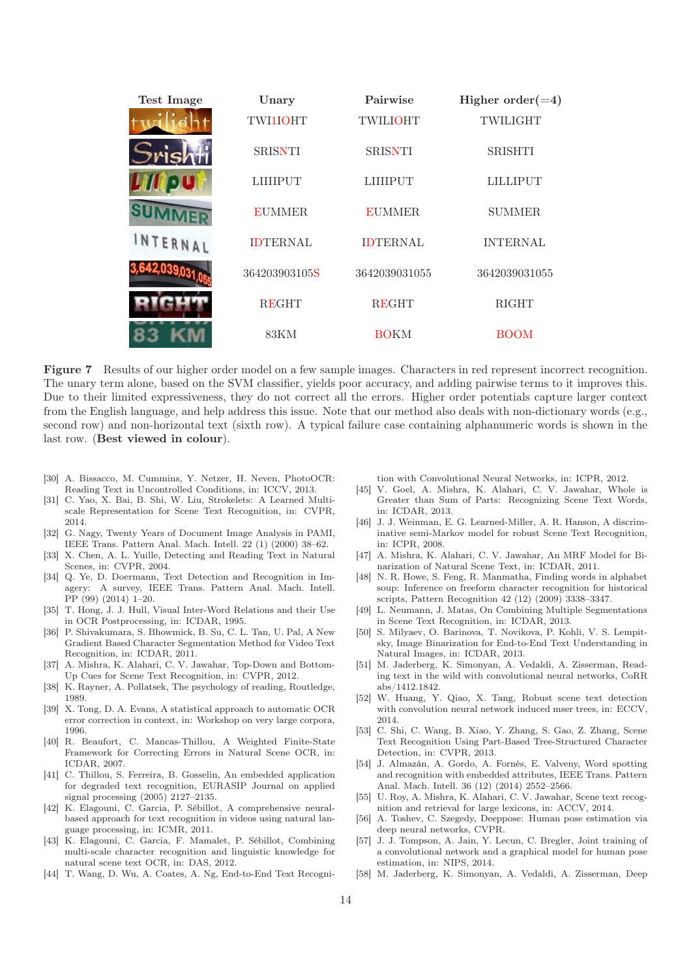

Figure 7 Results of our higher order model on a few sample images. Characters in red represent incorrect recognition. The unary term alone, based on the SVM classifier, yields poor accuracy, and adding pairwise terms to it improves this. Due to their limited expressiveness, they do not correct all the errors. Higher order potentials capture larger context from the English language, and help address this issue. Note that our method also deals with non-dictionary words (e.g., second row) and non-horizontal text (sixth row). A typical failure case containing alphanumeric words is shown in the last row. (Best viewed in colour).

- [30] A. Bissacco, M. Cummins, Y. Netzer, H. Neven, PhotoOCR: Reading Text in Uncontrolled Conditions, in: ICCV, 2013.
- [31] C. Yao, X. Bai, B. Shi, W. Liu, Strokelets: A Learned Multiscale Representation for Scene Text Recognition, in: CVPR, 2014.
- [32] G. Nagy, Twenty Years of Document Image Analysis in PAMI, IEEE Trans. Pattern Anal. Mach. Intell. 22 (1) (2000) 38–62.
- [33] X. Chen, A. L. Yuille, Detecting and Reading Text in Natural Scenes, in: CVPR, 2004.
- [34] Q. Ye, D. Doermann, Text Detection and Recognition in Imagery: A survey, IEEE Trans. Pattern Anal. Mach. Intell. PP (99) (2014) 1–20.
- [35] T. Hong, J. J. Hull, Visual Inter-Word Relations and their Use in OCR Postprocessing, in: ICDAR, 1995.
- [36] P. Shivakumara, S. Bhowmick, B. Su, C. L. Tan, U. Pal, A New Gradient Based Character Segmentation Method for Video Text Recognition, in: ICDAR, 2011.
- [37] A. Mishra, K. Alahari, C. V. Jawahar, Top-Down and Bottom-Up Cues for Scene Text Recognition, in: CVPR, 2012.
- [38] K. Rayner, A. Pollatsek, The psychology of reading, Routledge, 1989.
- [39] X. Tong, D. A. Evans, A statistical approach to automatic OCR error correction in context, in: Workshop on very large corpora, 1996.
- [40] R. Beaufort, C. Mancas-Thillou, A Weighted Finite-State Framework for Correcting Errors in Natural Scene OCR, in: ICDAR, 2007.
- [41] C. Thillou, S. Ferreira, B. Gosselin, An embedded application for degraded text recognition, EURASIP Journal on applied signal processing (2005) 2127–2135.
- [42] K. Elagouni, C. Garcia, P. Sébillot, A comprehensive neuralbased approach for text recognition in videos using natural language processing, in: ICMR, 2011.
- [43] K. Elagouni, C. Garcia, F. Mamalet, P. Sébillot, Combining multi-scale character recognition and linguistic knowledge for natural scene text OCR, in: DAS, 2012.
- [44] T. Wang, D. Wu, A. Coates, A. Ng, End-to-End Text Recogni-

tion with Convolutional Neural Networks, in: ICPR, 2012.

- [45] V. Goel, A. Mishra, K. Alahari, C. V. Jawahar, Whole is Greater than Sum of Parts: Recognizing Scene Text Words, in: ICDAR, 2013.
- [46] J. J. Weinman, E. G. Learned-Miller, A. R. Hanson, A discriminative semi-Markov model for robust Scene Text Recognition, in: ICPR, 2008.
- [47] A. Mishra, K. Alahari, C. V. Jawahar, An MRF Model for Binarization of Natural Scene Text, in: ICDAR, 2011.
- [48] N. R. Howe, S. Feng, R. Manmatha, Finding words in alphabet soup: Inference on freeform character recognition for historical scripts, Pattern Recognition 42 (12) (2009) 3338–3347.
- [49] L. Neumann, J. Matas, On Combining Multiple Segmentations in Scene Text Recognition, in: ICDAR, 2013.
- [50] S. Milyaev, O. Barinova, T. Novikova, P. Kohli, V. S. Lempitsky, Image Binarization for End-to-End Text Understanding in Natural Images, in: ICDAR, 2013.
- [51] M. Jaderberg, K. Simonyan, A. Vedaldi, A. Zisserman, Reading text in the wild with convolutional neural networks, CoRR abs/1412.1842.
- [52] W. Huang, Y. Qiao, X. Tang, Robust scene text detection with convolution neural network induced mser trees, in: ECCV, 2014.
- [53] C. Shi, C. Wang, B. Xiao, Y. Zhang, S. Gao, Z. Zhang, Scene Text Recognition Using Part-Based Tree-Structured Character Detection, in: CVPR, 2013.
- [54] J. Almazán, A. Gordo, A. Fornés, E. Valveny, Word spotting and recognition with embedded attributes, IEEE Trans. Pattern Anal. Mach. Intell. 36 (12) (2014) 2552–2566.
- [55] U. Roy, A. Mishra, K. Alahari, C. V. Jawahar, Scene text recognition and retrieval for large lexicons, in: ACCV, 2014.
- [56] A. Toshev, C. Szegedy, Deeppose: Human pose estimation via deep neural networks, CVPR.
- [57] J. J. Tompson, A. Jain, Y. Lecun, C. Bregler, Joint training of a convolutional network and a graphical model for human pose estimation, in: NIPS, 2014.
- [58] M. Jaderberg, K. Simonyan, A. Vedaldi, A. Zisserman, Deep